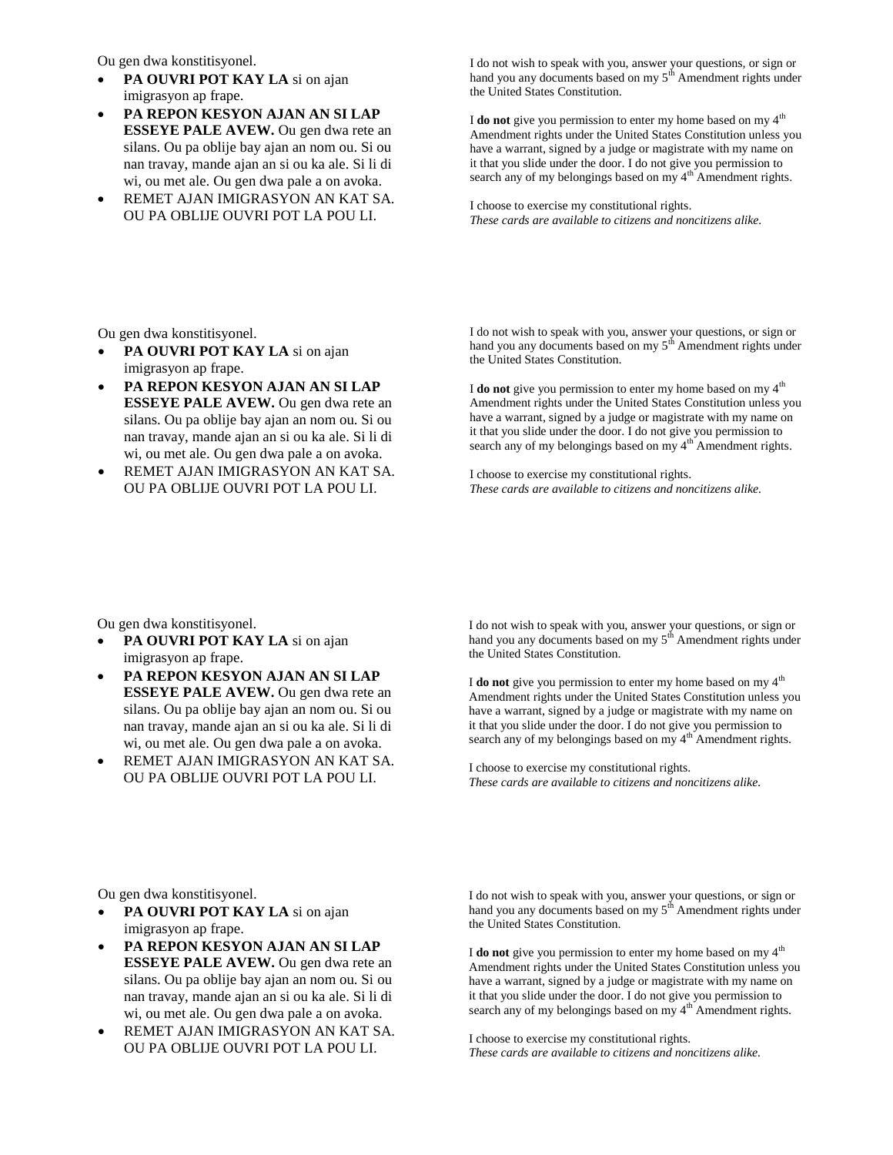Ou gen dwa konstitisyonel.

- **PA OUVRI POT KAY LA** si on ajan imigrasyon ap frape.
- **PA REPON KESYON AJAN AN SI LAP ESSEYE PALE AVEW.** Ou gen dwa rete an silans. Ou pa oblije bay ajan an nom ou. Si ou nan travay, mande ajan an si ou ka ale. Si li di wi, ou met ale. Ou gen dwa pale a on avoka.
- REMET AJAN IMIGRASYON AN KAT SA. OU PA OBLIJE OUVRI POT LA POU LI.

I do not wish to speak with you, answer your questions, or sign or hand you any documents based on my  $5<sup>th</sup>$  Amendment rights under the United States Constitution.

I **do not** give you permission to enter my home based on my 4<sup>th</sup> Amendment rights under the United States Constitution unless you have a warrant, signed by a judge or magistrate with my name on it that you slide under the door. I do not give you permission to search any of my belongings based on my 4<sup>th</sup> Amendment rights.

I choose to exercise my constitutional rights. *These cards are available to citizens and noncitizens alike.*

Ou gen dwa konstitisyonel.

- **PA OUVRI POT KAY LA** si on ajan imigrasyon ap frape.
- **PA REPON KESYON AJAN AN SI LAP ESSEYE PALE AVEW.** Ou gen dwa rete an silans. Ou pa oblije bay ajan an nom ou. Si ou nan travay, mande ajan an si ou ka ale. Si li di wi, ou met ale. Ou gen dwa pale a on avoka.
- REMET AJAN IMIGRASYON AN KAT SA. OU PA OBLIJE OUVRI POT LA POU LI.

I do not wish to speak with you, answer your questions, or sign or hand you any documents based on my 5<sup>th</sup> Amendment rights under the United States Constitution.

I **do not** give you permission to enter my home based on my 4<sup>th</sup> Amendment rights under the United States Constitution unless you have a warrant, signed by a judge or magistrate with my name on it that you slide under the door. I do not give you permission to search any of my belongings based on my  $4^{\text{th}}$  Amendment rights.

I choose to exercise my constitutional rights. *These cards are available to citizens and noncitizens alike.*

Ou gen dwa konstitisyonel.

- **PA OUVRI POT KAY LA** si on ajan imigrasyon ap frape.
- **PA REPON KESYON AJAN AN SI LAP ESSEYE PALE AVEW.** Ou gen dwa rete an silans. Ou pa oblije bay ajan an nom ou. Si ou nan travay, mande ajan an si ou ka ale. Si li di wi, ou met ale. Ou gen dwa pale a on avoka.
- REMET AJAN IMIGRASYON AN KAT SA. OU PA OBLIJE OUVRI POT LA POU LI.

I do not wish to speak with you, answer your questions, or sign or hand you any documents based on my 5<sup>th</sup> Amendment rights under the United States Constitution.

I **do not** give you permission to enter my home based on my  $4<sup>th</sup>$ Amendment rights under the United States Constitution unless you have a warrant, signed by a judge or magistrate with my name on it that you slide under the door. I do not give you permission to search any of my belongings based on my 4<sup>th</sup> Amendment rights.

I choose to exercise my constitutional rights. *These cards are available to citizens and noncitizens alike.*

Ou gen dwa konstitisyonel.

- **PA OUVRI POT KAY LA** si on ajan imigrasyon ap frape.
- **PA REPON KESYON AJAN AN SI LAP ESSEYE PALE AVEW.** Ou gen dwa rete an silans. Ou pa oblije bay ajan an nom ou. Si ou nan travay, mande ajan an si ou ka ale. Si li di wi, ou met ale. Ou gen dwa pale a on avoka.
- REMET AJAN IMIGRASYON AN KAT SA. OU PA OBLIJE OUVRI POT LA POU LI.

I do not wish to speak with you, answer your questions, or sign or hand you any documents based on my  $5<sup>th</sup>$  Amendment rights under the United States Constitution.

I **do not** give you permission to enter my home based on my  $4<sup>th</sup>$ Amendment rights under the United States Constitution unless you have a warrant, signed by a judge or magistrate with my name on it that you slide under the door. I do not give you permission to search any of my belongings based on my 4<sup>th</sup> Amendment rights.

I choose to exercise my constitutional rights. *These cards are available to citizens and noncitizens alike.*